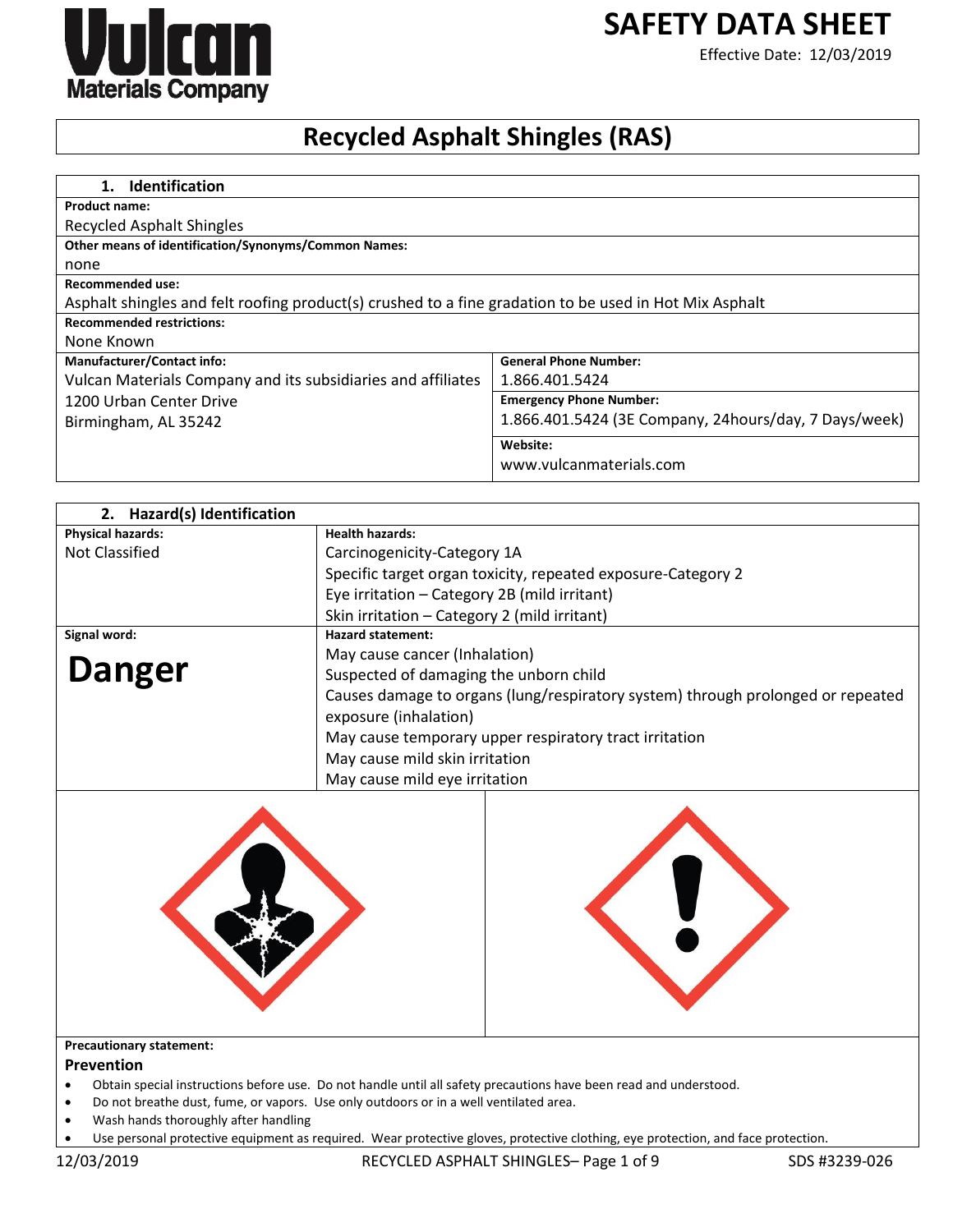# **SAFETY DATA SHEET**



## Effective Date: 12/03/2019

# **Recycled Asphalt Shingles (RAS)**

| <b>Identification</b><br>1.                                                                            |                                                       |
|--------------------------------------------------------------------------------------------------------|-------------------------------------------------------|
| <b>Product name:</b>                                                                                   |                                                       |
| Recycled Asphalt Shingles                                                                              |                                                       |
| <b>Other means of identification/Synonyms/Common Names:</b>                                            |                                                       |
| none                                                                                                   |                                                       |
| Recommended use:                                                                                       |                                                       |
| Asphalt shingles and felt roofing product(s) crushed to a fine gradation to be used in Hot Mix Asphalt |                                                       |
| <b>Recommended restrictions:</b>                                                                       |                                                       |
| None Known                                                                                             |                                                       |
| <b>Manufacturer/Contact info:</b>                                                                      | <b>General Phone Number:</b>                          |
| Vulcan Materials Company and its subsidiaries and affiliates                                           | 1.866.401.5424                                        |
| 1200 Urban Center Drive                                                                                | <b>Emergency Phone Number:</b>                        |
| Birmingham, AL 35242                                                                                   | 1.866.401.5424 (3E Company, 24hours/day, 7 Days/week) |
|                                                                                                        | Website:                                              |
|                                                                                                        | www.vulcanmaterials.com                               |

| 2. Hazard(s) Identification |                                                                                 |
|-----------------------------|---------------------------------------------------------------------------------|
| <b>Physical hazards:</b>    | <b>Health hazards:</b>                                                          |
| <b>Not Classified</b>       | Carcinogenicity-Category 1A                                                     |
|                             | Specific target organ toxicity, repeated exposure-Category 2                    |
|                             | Eye irritation - Category 2B (mild irritant)                                    |
|                             | Skin irritation - Category 2 (mild irritant)                                    |
| Signal word:                | <b>Hazard statement:</b>                                                        |
|                             | May cause cancer (Inhalation)                                                   |
| <b>Danger</b>               | Suspected of damaging the unborn child                                          |
|                             | Causes damage to organs (lung/respiratory system) through prolonged or repeated |
|                             | exposure (inhalation)                                                           |
|                             | May cause temporary upper respiratory tract irritation                          |
|                             | May cause mild skin irritation                                                  |
|                             | May cause mild eye irritation                                                   |
|                             |                                                                                 |



#### **Precautionary statement:**

#### **Prevention**

- Obtain special instructions before use. Do not handle until all safety precautions have been read and understood.
- Do not breathe dust, fume, or vapors. Use only outdoors or in a well ventilated area.
- Wash hands thoroughly after handling
- Use personal protective equipment as required. Wear protective gloves, protective clothing, eye protection, and face protection.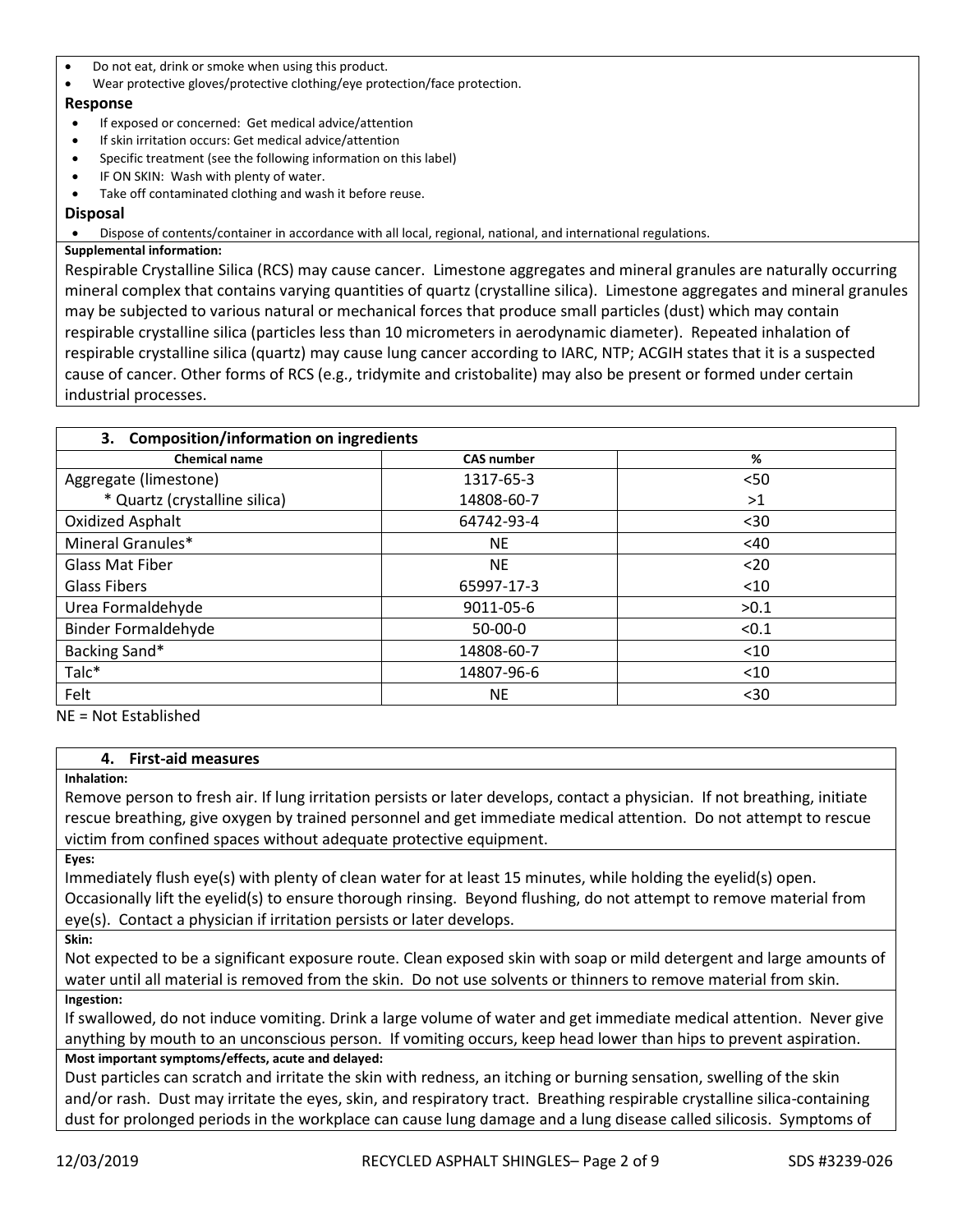- Do not eat, drink or smoke when using this product.
- Wear protective gloves/protective clothing/eye protection/face protection.

## **Response**

- If exposed or concerned: Get medical advice/attention
- If skin irritation occurs: Get medical advice/attention
- Specific treatment (see the following information on this label)
- IF ON SKIN: Wash with plenty of water.
- Take off contaminated clothing and wash it before reuse.

## **Disposal**

Dispose of contents/container in accordance with all local, regional, national, and international regulations.

## **Supplemental information:**

Respirable Crystalline Silica (RCS) may cause cancer. Limestone aggregates and mineral granules are naturally occurring mineral complex that contains varying quantities of quartz (crystalline silica). Limestone aggregates and mineral granules may be subjected to various natural or mechanical forces that produce small particles (dust) which may contain respirable crystalline silica (particles less than 10 micrometers in aerodynamic diameter). Repeated inhalation of respirable crystalline silica (quartz) may cause lung cancer according to IARC, NTP; ACGIH states that it is a suspected cause of cancer. Other forms of RCS (e.g., tridymite and cristobalite) may also be present or formed under certain industrial processes.

| 3. Composition/information on ingredients |                   |        |  |
|-------------------------------------------|-------------------|--------|--|
| <b>Chemical name</b>                      | <b>CAS number</b> | %      |  |
| Aggregate (limestone)                     | 1317-65-3         | < 50   |  |
| * Quartz (crystalline silica)             | 14808-60-7        | >1     |  |
| Oxidized Asphalt                          | 64742-93-4        | $30$   |  |
| Mineral Granules*                         | <b>NE</b>         | <40    |  |
| <b>Glass Mat Fiber</b>                    | <b>NE</b>         | $20$   |  |
| Glass Fibers                              | 65997-17-3        | $<$ 10 |  |
| Urea Formaldehyde                         | 9011-05-6         | >0.1   |  |
| <b>Binder Formaldehyde</b>                | $50-00-0$         | < 0.1  |  |
| Backing Sand*                             | 14808-60-7        | $<$ 10 |  |
| Talc*                                     | 14807-96-6        | $<$ 10 |  |
| Felt                                      | <b>NE</b>         | $30$   |  |

NE = Not Established

## **4. First-aid measures**

## **Inhalation:**

Remove person to fresh air. If lung irritation persists or later develops, contact a physician. If not breathing, initiate rescue breathing, give oxygen by trained personnel and get immediate medical attention. Do not attempt to rescue victim from confined spaces without adequate protective equipment.

**Eyes:** 

Immediately flush eye(s) with plenty of clean water for at least 15 minutes, while holding the eyelid(s) open. Occasionally lift the eyelid(s) to ensure thorough rinsing. Beyond flushing, do not attempt to remove material from eye(s). Contact a physician if irritation persists or later develops.

**Skin:** 

Not expected to be a significant exposure route. Clean exposed skin with soap or mild detergent and large amounts of water until all material is removed from the skin. Do not use solvents or thinners to remove material from skin. **Ingestion:** 

If swallowed, do not induce vomiting. Drink a large volume of water and get immediate medical attention. Never give anything by mouth to an unconscious person. If vomiting occurs, keep head lower than hips to prevent aspiration. **Most important symptoms/effects, acute and delayed:**

Dust particles can scratch and irritate the skin with redness, an itching or burning sensation, swelling of the skin and/or rash. Dust may irritate the eyes, skin, and respiratory tract. Breathing respirable crystalline silica-containing dust for prolonged periods in the workplace can cause lung damage and a lung disease called silicosis. Symptoms of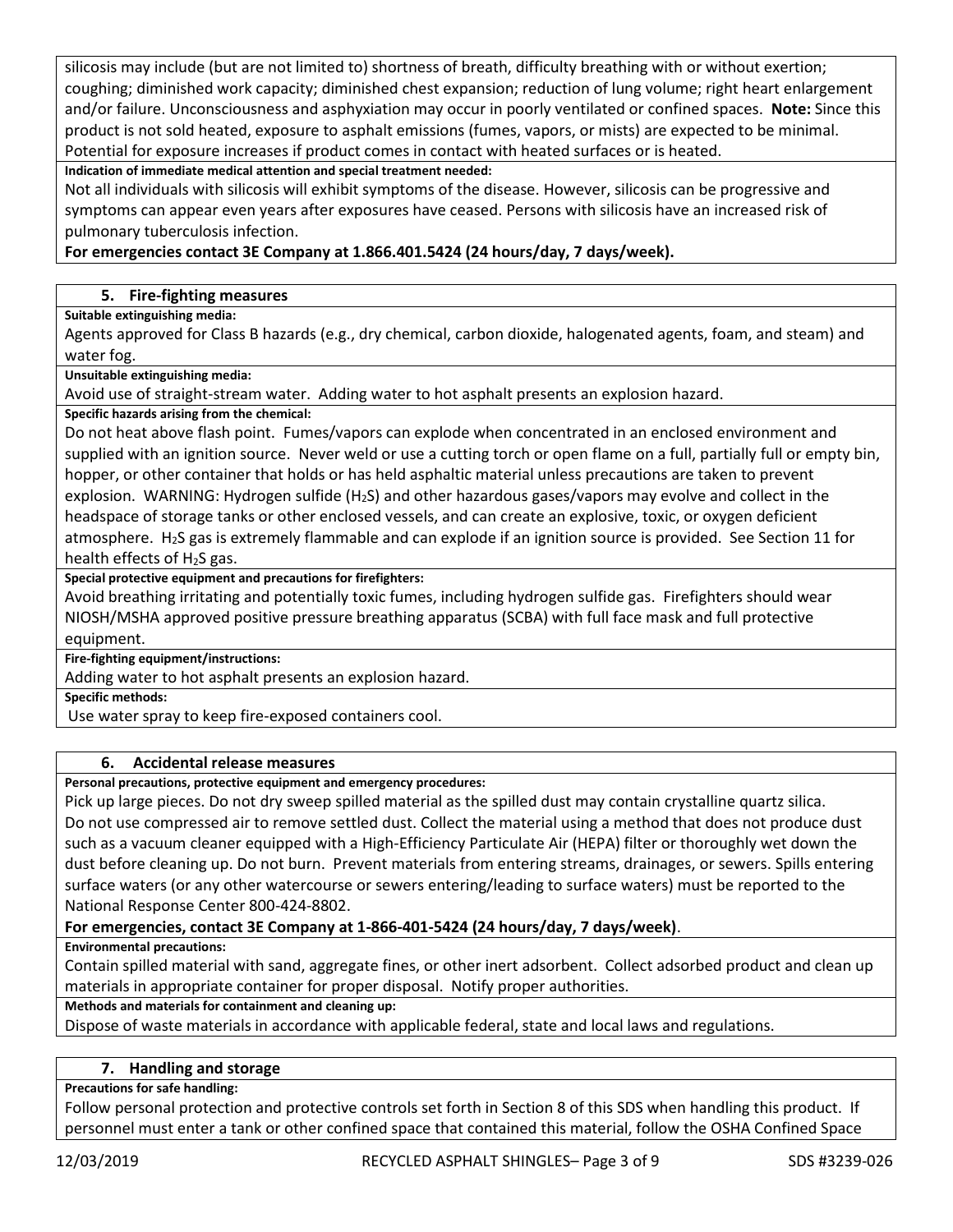silicosis may include (but are not limited to) shortness of breath, difficulty breathing with or without exertion; coughing; diminished work capacity; diminished chest expansion; reduction of lung volume; right heart enlargement and/or failure. Unconsciousness and asphyxiation may occur in poorly ventilated or confined spaces. **Note:** Since this product is not sold heated, exposure to asphalt emissions (fumes, vapors, or mists) are expected to be minimal. Potential for exposure increases if product comes in contact with heated surfaces or is heated.

**Indication of immediate medical attention and special treatment needed:**

Not all individuals with silicosis will exhibit symptoms of the disease. However, silicosis can be progressive and symptoms can appear even years after exposures have ceased. Persons with silicosis have an increased risk of pulmonary tuberculosis infection.

## **For emergencies contact 3E Company at 1.866.401.5424 (24 hours/day, 7 days/week).**

## **5. Fire-fighting measures**

**Suitable extinguishing media:**

Agents approved for Class B hazards (e.g., dry chemical, carbon dioxide, halogenated agents, foam, and steam) and water fog.

**Unsuitable extinguishing media:**

Avoid use of straight-stream water. Adding water to hot asphalt presents an explosion hazard.

**Specific hazards arising from the chemical:**

Do not heat above flash point. Fumes/vapors can explode when concentrated in an enclosed environment and supplied with an ignition source. Never weld or use a cutting torch or open flame on a full, partially full or empty bin, hopper, or other container that holds or has held asphaltic material unless precautions are taken to prevent explosion. WARNING: Hydrogen sulfide  $(H_2S)$  and other hazardous gases/vapors may evolve and collect in the headspace of storage tanks or other enclosed vessels, and can create an explosive, toxic, or oxygen deficient atmosphere. H2S gas is extremely flammable and can explode if an ignition source is provided. See Section 11 for health effects of H2S gas.

**Special protective equipment and precautions for firefighters:**

Avoid breathing irritating and potentially toxic fumes, including hydrogen sulfide gas. Firefighters should wear NIOSH/MSHA approved positive pressure breathing apparatus (SCBA) with full face mask and full protective equipment.

**Fire-fighting equipment/instructions:**

Adding water to hot asphalt presents an explosion hazard.

**Specific methods:**

Use water spray to keep fire-exposed containers cool.

## **6. Accidental release measures**

**Personal precautions, protective equipment and emergency procedures:**

Pick up large pieces. Do not dry sweep spilled material as the spilled dust may contain crystalline quartz silica. Do not use compressed air to remove settled dust. Collect the material using a method that does not produce dust such as a vacuum cleaner equipped with a High-Efficiency Particulate Air (HEPA) filter or thoroughly wet down the dust before cleaning up. Do not burn. Prevent materials from entering streams, drainages, or sewers. Spills entering surface waters (or any other watercourse or sewers entering/leading to surface waters) must be reported to the National Response Center 800-424-8802.

## **For emergencies, contact 3E Company at 1-866-401-5424 (24 hours/day, 7 days/week)**.

**Environmental precautions:**

Contain spilled material with sand, aggregate fines, or other inert adsorbent. Collect adsorbed product and clean up materials in appropriate container for proper disposal. Notify proper authorities.

**Methods and materials for containment and cleaning up:**

Dispose of waste materials in accordance with applicable federal, state and local laws and regulations.

#### **7. Handling and storage**

**Precautions for safe handling:**

Follow personal protection and protective controls set forth in Section 8 of this SDS when handling this product. If personnel must enter a tank or other confined space that contained this material, follow the OSHA Confined Space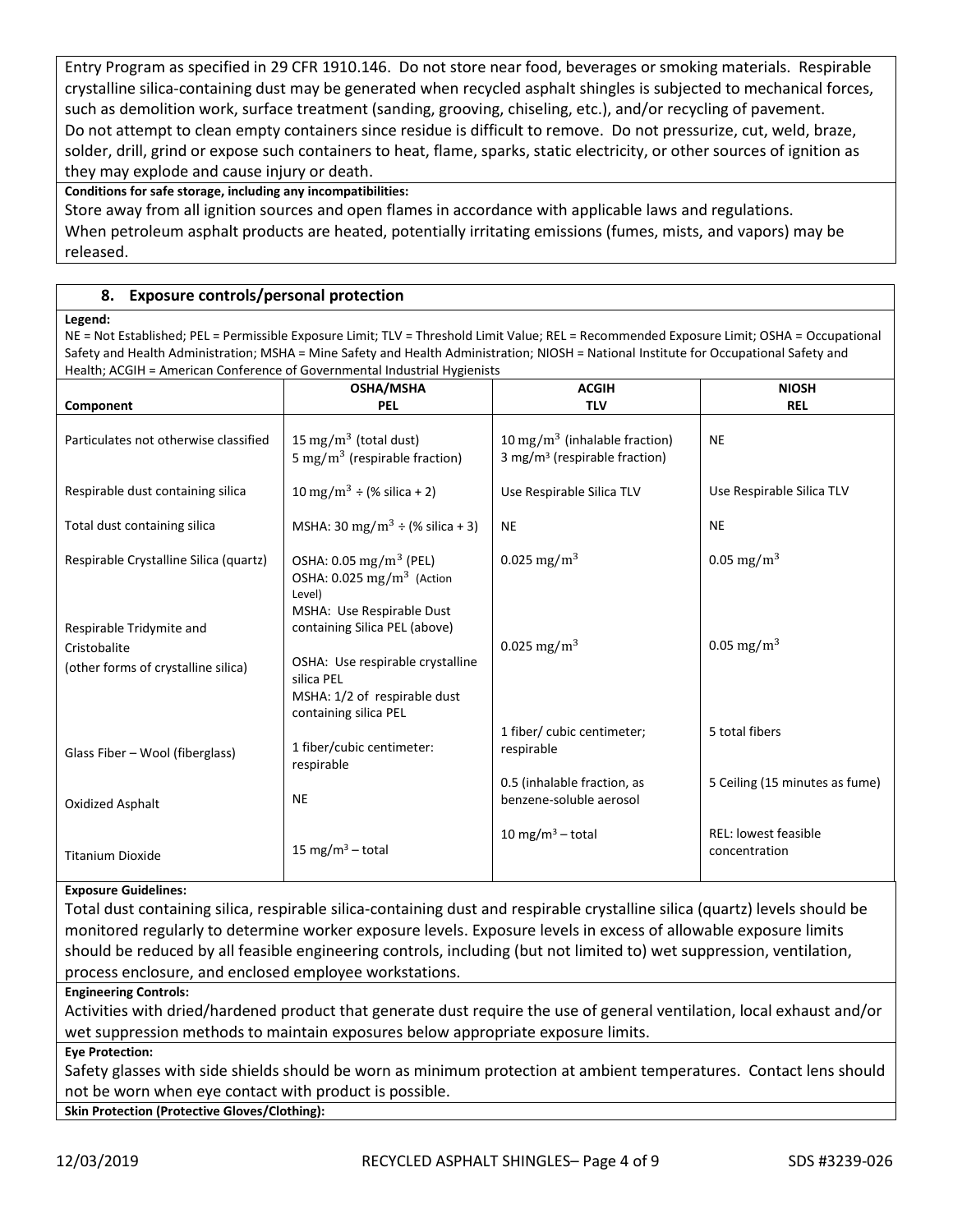Entry Program as specified in 29 CFR 1910.146. Do not store near food, beverages or smoking materials. Respirable crystalline silica-containing dust may be generated when recycled asphalt shingles is subjected to mechanical forces, such as demolition work, surface treatment (sanding, grooving, chiseling, etc.), and/or recycling of pavement. Do not attempt to clean empty containers since residue is difficult to remove. Do not pressurize, cut, weld, braze, solder, drill, grind or expose such containers to heat, flame, sparks, static electricity, or other sources of ignition as they may explode and cause injury or death.

**Conditions for safe storage, including any incompatibilities:**

Store away from all ignition sources and open flames in accordance with applicable laws and regulations. When petroleum asphalt products are heated, potentially irritating emissions (fumes, mists, and vapors) may be released.

## **8. Exposure controls/personal protection**

#### **Legend:**

NE = Not Established; PEL = Permissible Exposure Limit; TLV = Threshold Limit Value; REL = Recommended Exposure Limit; OSHA = Occupational Safety and Health Administration; MSHA = Mine Safety and Health Administration; NIOSH = National Institute for Occupational Safety and Health; ACGIH = American Conference of Governmental Industrial Hygienists

| $r$ . Eq. (1) $r$ , to see the find that $r$ is the critical contention to the content of $r$ | <b>OSHA/MSHA</b>                                                                                                                         | <b>ACGIH</b>                                                                           | <b>NIOSH</b>                                 |
|-----------------------------------------------------------------------------------------------|------------------------------------------------------------------------------------------------------------------------------------------|----------------------------------------------------------------------------------------|----------------------------------------------|
| Component                                                                                     | <b>PEL</b>                                                                                                                               | <b>TLV</b>                                                                             | <b>REL</b>                                   |
| Particulates not otherwise classified                                                         | 15 mg/m <sup>3</sup> (total dust)<br>5 mg/m <sup>3</sup> (respirable fraction)                                                           | 10 mg/m <sup>3</sup> (inhalable fraction)<br>3 mg/m <sup>3</sup> (respirable fraction) | <b>NE</b>                                    |
| Respirable dust containing silica                                                             | 10 mg/m <sup>3</sup> ÷ (% silica + 2)                                                                                                    | Use Respirable Silica TLV                                                              | Use Respirable Silica TLV                    |
| Total dust containing silica                                                                  | MSHA: 30 mg/m <sup>3</sup> $\div$ (% silica + 3)                                                                                         | <b>NE</b>                                                                              | <b>NE</b>                                    |
| Respirable Crystalline Silica (quartz)                                                        | OSHA: $0.05 \text{ mg/m}^3$ (PEL)<br>OSHA: $0.025$ mg/m <sup>3</sup> (Action<br>Level)<br>MSHA: Use Respirable Dust                      | 0.025 mg/m <sup>3</sup>                                                                | 0.05 mg/m <sup>3</sup>                       |
| Respirable Tridymite and<br>Cristobalite<br>(other forms of crystalline silica)               | containing Silica PEL (above)<br>OSHA: Use respirable crystalline<br>silica PEL<br>MSHA: 1/2 of respirable dust<br>containing silica PEL | 0.025 mg/m <sup>3</sup>                                                                | 0.05 mg/m <sup>3</sup>                       |
| Glass Fiber - Wool (fiberglass)                                                               | 1 fiber/cubic centimeter:<br>respirable                                                                                                  | 1 fiber/ cubic centimeter;<br>respirable                                               | 5 total fibers                               |
| Oxidized Asphalt                                                                              | <b>NE</b>                                                                                                                                | 0.5 (inhalable fraction, as<br>benzene-soluble aerosol                                 | 5 Ceiling (15 minutes as fume)               |
| <b>Titanium Dioxide</b>                                                                       | 15 mg/m <sup>3</sup> – total                                                                                                             | 10 mg/m <sup>3</sup> – total                                                           | <b>REL: lowest feasible</b><br>concentration |

#### **Exposure Guidelines:**

Total dust containing silica, respirable silica-containing dust and respirable crystalline silica (quartz) levels should be monitored regularly to determine worker exposure levels. Exposure levels in excess of allowable exposure limits should be reduced by all feasible engineering controls, including (but not limited to) wet suppression, ventilation, process enclosure, and enclosed employee workstations.

#### **Engineering Controls:**

Activities with dried/hardened product that generate dust require the use of general ventilation, local exhaust and/or wet suppression methods to maintain exposures below appropriate exposure limits.

#### **Eye Protection:**

Safety glasses with side shields should be worn as minimum protection at ambient temperatures. Contact lens should not be worn when eye contact with product is possible.

**Skin Protection (Protective Gloves/Clothing):**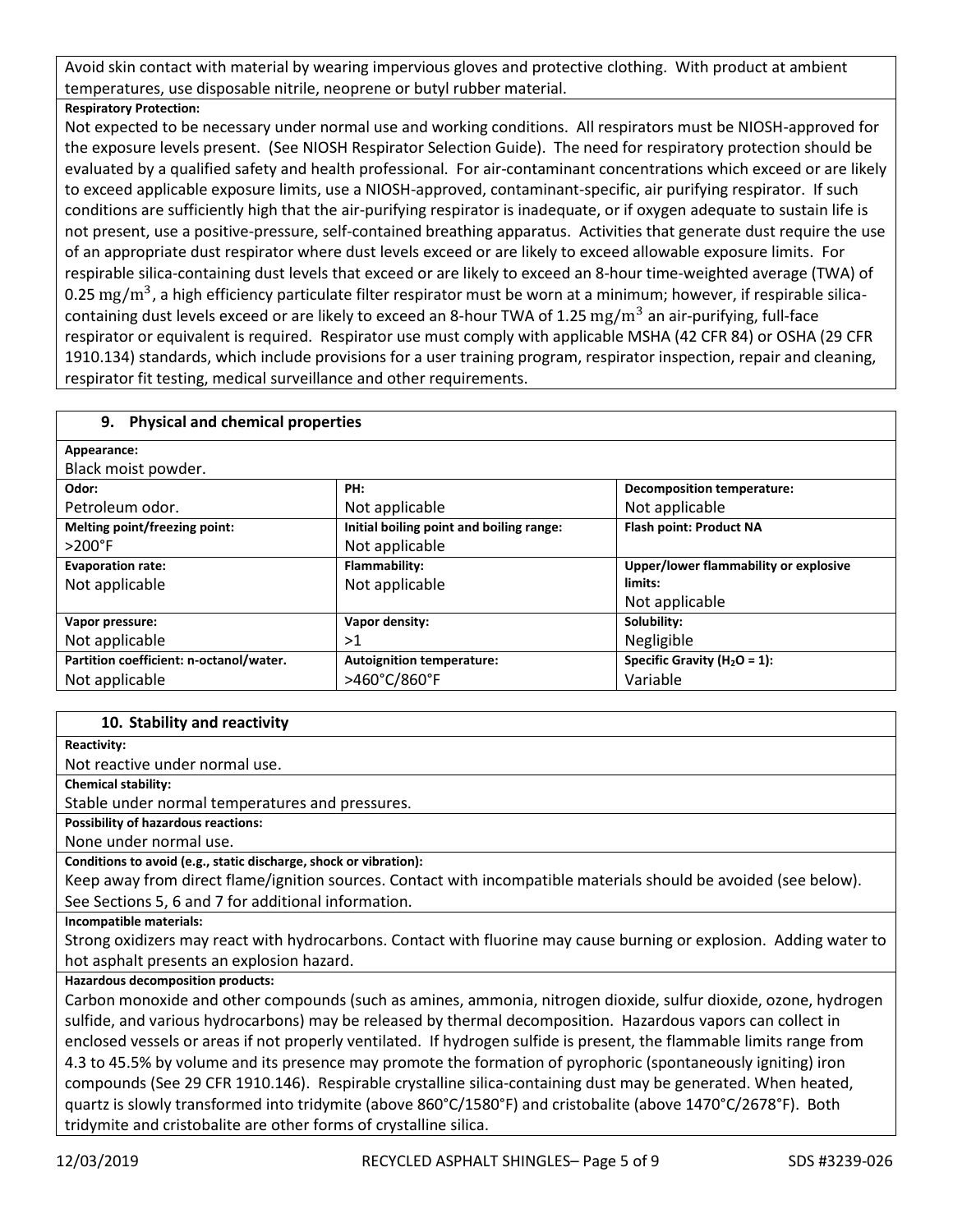Avoid skin contact with material by wearing impervious gloves and protective clothing. With product at ambient temperatures, use disposable nitrile, neoprene or butyl rubber material.

## **Respiratory Protection:**

Not expected to be necessary under normal use and working conditions. All respirators must be NIOSH-approved for the exposure levels present. (See NIOSH Respirator Selection Guide). The need for respiratory protection should be evaluated by a qualified safety and health professional. For air-contaminant concentrations which exceed or are likely to exceed applicable exposure limits, use a NIOSH-approved, contaminant-specific, air purifying respirator. If such conditions are sufficiently high that the air-purifying respirator is inadequate, or if oxygen adequate to sustain life is not present, use a positive-pressure, self-contained breathing apparatus. Activities that generate dust require the use of an appropriate dust respirator where dust levels exceed or are likely to exceed allowable exposure limits. For respirable silica-containing dust levels that exceed or are likely to exceed an 8-hour time-weighted average (TWA) of 0.25 mg/m<sup>3</sup>, a high efficiency particulate filter respirator must be worn at a minimum; however, if respirable silicacontaining dust levels exceed or are likely to exceed an 8-hour TWA of 1.25  $mg/m^3$  an air-purifying, full-face respirator or equivalent is required. Respirator use must comply with applicable MSHA (42 CFR 84) or OSHA (29 CFR 1910.134) standards, which include provisions for a user training program, respirator inspection, repair and cleaning, respirator fit testing, medical surveillance and other requirements.

## **9. Physical and chemical properties**

| Appearance:                             |                                          |                                       |
|-----------------------------------------|------------------------------------------|---------------------------------------|
| Black moist powder.                     |                                          |                                       |
| Odor:                                   | PH:                                      | <b>Decomposition temperature:</b>     |
| Petroleum odor.                         | Not applicable                           | Not applicable                        |
| Melting point/freezing point:           | Initial boiling point and boiling range: | Flash point: Product NA               |
| $>200^\circ F$                          | Not applicable                           |                                       |
| <b>Evaporation rate:</b>                | Flammability:                            | Upper/lower flammability or explosive |
| Not applicable                          | Not applicable                           | limits:                               |
|                                         |                                          | Not applicable                        |
| Vapor pressure:                         | Vapor density:                           | Solubility:                           |
| Not applicable                          | >1                                       | Negligible                            |
| Partition coefficient: n-octanol/water. | <b>Autoignition temperature:</b>         | Specific Gravity ( $H_2O = 1$ ):      |
| Not applicable                          | >460°C/860°F                             | Variable                              |

#### **10. Stability and reactivity**

**Reactivity:**

Not reactive under normal use.

**Chemical stability:**

Stable under normal temperatures and pressures.

**Possibility of hazardous reactions:** 

None under normal use.

**Conditions to avoid (e.g., static discharge, shock or vibration):**

Keep away from direct flame/ignition sources. Contact with incompatible materials should be avoided (see below). See Sections 5, 6 and 7 for additional information.

**Incompatible materials:**

Strong oxidizers may react with hydrocarbons. Contact with fluorine may cause burning or explosion. Adding water to hot asphalt presents an explosion hazard.

## **Hazardous decomposition products:**

Carbon monoxide and other compounds (such as amines, ammonia, nitrogen dioxide, sulfur dioxide, ozone, hydrogen sulfide, and various hydrocarbons) may be released by thermal decomposition. Hazardous vapors can collect in enclosed vessels or areas if not properly ventilated. If hydrogen sulfide is present, the flammable limits range from 4.3 to 45.5% by volume and its presence may promote the formation of pyrophoric (spontaneously igniting) iron compounds (See 29 CFR 1910.146). Respirable crystalline silica-containing dust may be generated. When heated, quartz is slowly transformed into tridymite (above 860°C/1580°F) and cristobalite (above 1470°C/2678°F). Both tridymite and cristobalite are other forms of crystalline silica.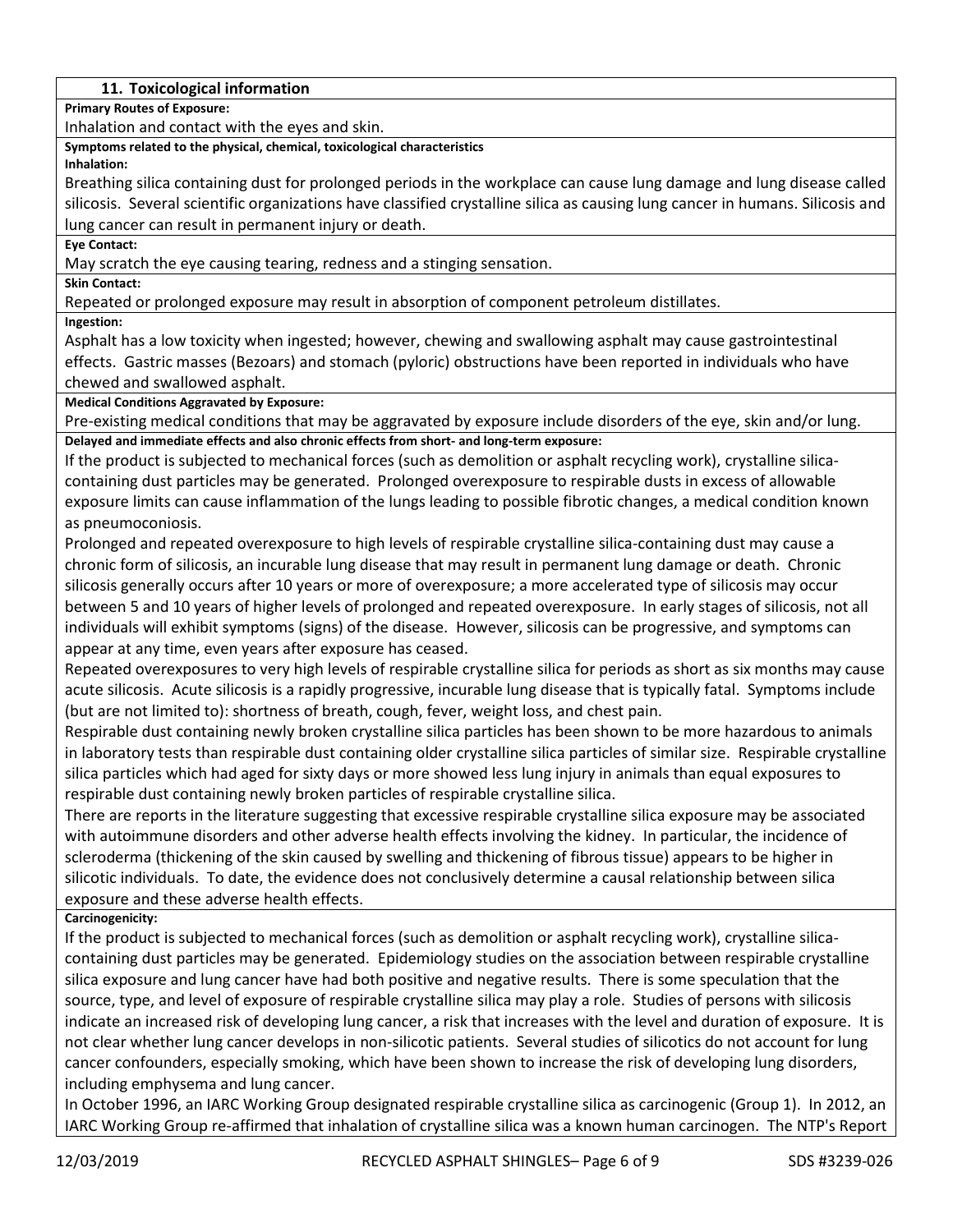## **11. Toxicological information**

**Primary Routes of Exposure:**

Inhalation and contact with the eyes and skin.

**Symptoms related to the physical, chemical, toxicological characteristics**

**Inhalation:**

Breathing silica containing dust for prolonged periods in the workplace can cause lung damage and lung disease called silicosis. Several scientific organizations have classified crystalline silica as causing lung cancer in humans. Silicosis and lung cancer can result in permanent injury or death.

#### **Eye Contact:**

May scratch the eye causing tearing, redness and a stinging sensation.

**Skin Contact:**

Repeated or prolonged exposure may result in absorption of component petroleum distillates.

**Ingestion:**

Asphalt has a low toxicity when ingested; however, chewing and swallowing asphalt may cause gastrointestinal effects. Gastric masses (Bezoars) and stomach (pyloric) obstructions have been reported in individuals who have chewed and swallowed asphalt.

**Medical Conditions Aggravated by Exposure:**

Pre-existing medical conditions that may be aggravated by exposure include disorders of the eye, skin and/or lung. **Delayed and immediate effects and also chronic effects from short- and long-term exposure:**

If the product is subjected to mechanical forces (such as demolition or asphalt recycling work), crystalline silicacontaining dust particles may be generated. Prolonged overexposure to respirable dusts in excess of allowable exposure limits can cause inflammation of the lungs leading to possible fibrotic changes, a medical condition known as pneumoconiosis.

Prolonged and repeated overexposure to high levels of respirable crystalline silica-containing dust may cause a chronic form of silicosis, an incurable lung disease that may result in permanent lung damage or death. Chronic silicosis generally occurs after 10 years or more of overexposure; a more accelerated type of silicosis may occur between 5 and 10 years of higher levels of prolonged and repeated overexposure. In early stages of silicosis, not all individuals will exhibit symptoms (signs) of the disease. However, silicosis can be progressive, and symptoms can appear at any time, even years after exposure has ceased.

Repeated overexposures to very high levels of respirable crystalline silica for periods as short as six months may cause acute silicosis. Acute silicosis is a rapidly progressive, incurable lung disease that is typically fatal. Symptoms include (but are not limited to): shortness of breath, cough, fever, weight loss, and chest pain.

Respirable dust containing newly broken crystalline silica particles has been shown to be more hazardous to animals in laboratory tests than respirable dust containing older crystalline silica particles of similar size. Respirable crystalline silica particles which had aged for sixty days or more showed less lung injury in animals than equal exposures to respirable dust containing newly broken particles of respirable crystalline silica.

There are reports in the literature suggesting that excessive respirable crystalline silica exposure may be associated with autoimmune disorders and other adverse health effects involving the kidney. In particular, the incidence of scleroderma (thickening of the skin caused by swelling and thickening of fibrous tissue) appears to be higher in silicotic individuals. To date, the evidence does not conclusively determine a causal relationship between silica exposure and these adverse health effects.

**Carcinogenicity:**

If the product is subjected to mechanical forces (such as demolition or asphalt recycling work), crystalline silicacontaining dust particles may be generated. Epidemiology studies on the association between respirable crystalline silica exposure and lung cancer have had both positive and negative results. There is some speculation that the source, type, and level of exposure of respirable crystalline silica may play a role. Studies of persons with silicosis indicate an increased risk of developing lung cancer, a risk that increases with the level and duration of exposure. It is not clear whether lung cancer develops in non-silicotic patients. Several studies of silicotics do not account for lung cancer confounders, especially smoking, which have been shown to increase the risk of developing lung disorders, including emphysema and lung cancer.

In October 1996, an IARC Working Group designated respirable crystalline silica as carcinogenic (Group 1). In 2012, an IARC Working Group re-affirmed that inhalation of crystalline silica was a known human carcinogen. The NTP's Report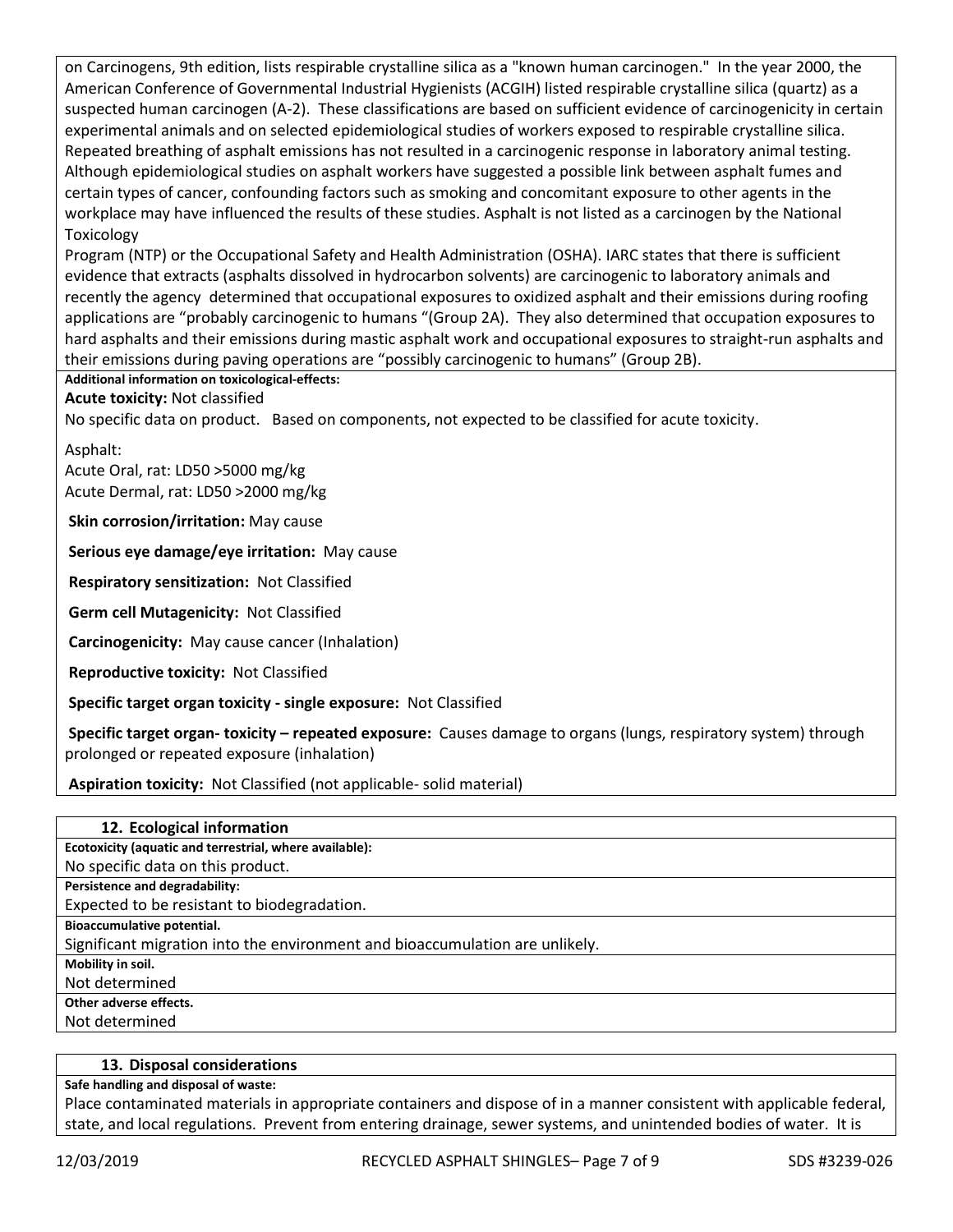on Carcinogens, 9th edition, lists respirable crystalline silica as a "known human carcinogen." In the year 2000, the American Conference of Governmental Industrial Hygienists (ACGIH) listed respirable crystalline silica (quartz) as a suspected human carcinogen (A-2). These classifications are based on sufficient evidence of carcinogenicity in certain experimental animals and on selected epidemiological studies of workers exposed to respirable crystalline silica. Repeated breathing of asphalt emissions has not resulted in a carcinogenic response in laboratory animal testing. Although epidemiological studies on asphalt workers have suggested a possible link between asphalt fumes and certain types of cancer, confounding factors such as smoking and concomitant exposure to other agents in the workplace may have influenced the results of these studies. Asphalt is not listed as a carcinogen by the National Toxicology

Program (NTP) or the Occupational Safety and Health Administration (OSHA). IARC states that there is sufficient evidence that extracts (asphalts dissolved in hydrocarbon solvents) are carcinogenic to laboratory animals and recently the agency determined that occupational exposures to oxidized asphalt and their emissions during roofing applications are "probably carcinogenic to humans "(Group 2A). They also determined that occupation exposures to hard asphalts and their emissions during mastic asphalt work and occupational exposures to straight-run asphalts and their emissions during paving operations are "possibly carcinogenic to humans" (Group 2B).

## **Additional information on toxicological-effects:**

**Acute toxicity:** Not classified

No specific data on product. Based on components, not expected to be classified for acute toxicity.

Asphalt:

Acute Oral, rat: LD50 >5000 mg/kg Acute Dermal, rat: LD50 >2000 mg/kg

**Skin corrosion/irritation:** May cause

**Serious eye damage/eye irritation:** May cause

**Respiratory sensitization:** Not Classified

**Germ cell Mutagenicity:** Not Classified

**Carcinogenicity:** May cause cancer (Inhalation)

**Reproductive toxicity:** Not Classified

**Specific target organ toxicity - single exposure:** Not Classified

**Specific target organ- toxicity – repeated exposure:** Causes damage to organs (lungs, respiratory system) through prolonged or repeated exposure (inhalation)

**Aspiration toxicity:** Not Classified (not applicable- solid material)

| 12. Ecological information                                                   |
|------------------------------------------------------------------------------|
| Ecotoxicity (aquatic and terrestrial, where available):                      |
| No specific data on this product.                                            |
| Persistence and degradability:                                               |
| Expected to be resistant to biodegradation.                                  |
| Bioaccumulative potential.                                                   |
| Significant migration into the environment and bioaccumulation are unlikely. |
| Mobility in soil.                                                            |
| Not determined                                                               |
| Other adverse effects.                                                       |
| Not determined                                                               |

#### **13. Disposal considerations**

#### **Safe handling and disposal of waste:**

Place contaminated materials in appropriate containers and dispose of in a manner consistent with applicable federal, state, and local regulations. Prevent from entering drainage, sewer systems, and unintended bodies of water. It is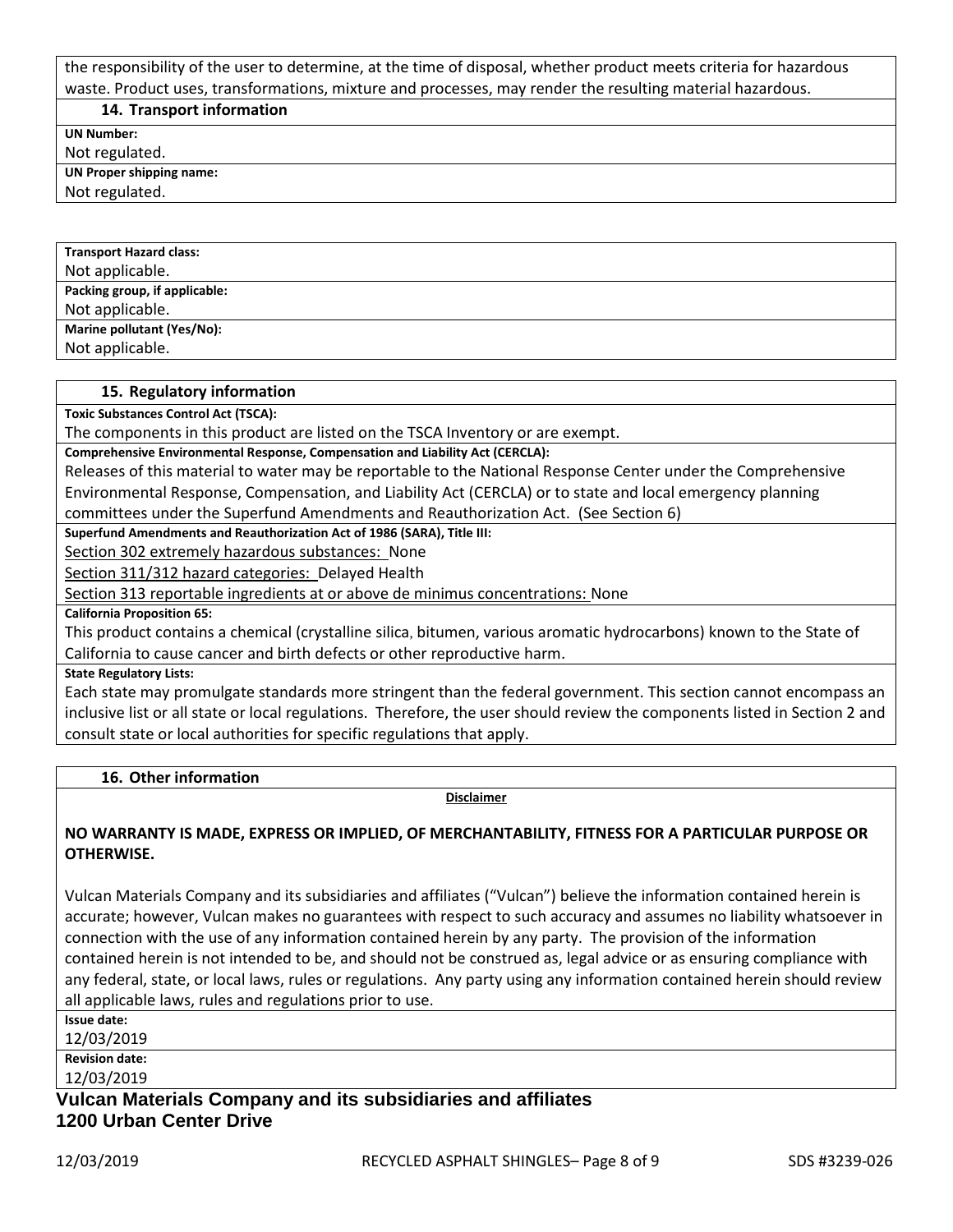the responsibility of the user to determine, at the time of disposal, whether product meets criteria for hazardous waste. Product uses, transformations, mixture and processes, may render the resulting material hazardous.

**14. Transport information**

**UN Number:**

Not regulated.

**UN Proper shipping name:**

Not regulated.

| <b>Transport Hazard class:</b> |
|--------------------------------|
| Not applicable.                |
| Packing group, if applicable:  |
| Not applicable.                |
| Marine pollutant (Yes/No):     |
| Not applicable.                |

#### **15. Regulatory information**

**Toxic Substances Control Act (TSCA):**

The components in this product are listed on the TSCA Inventory or are exempt.

**Comprehensive Environmental Response, Compensation and Liability Act (CERCLA):**

Releases of this material to water may be reportable to the National Response Center under the Comprehensive Environmental Response, Compensation, and Liability Act (CERCLA) or to state and local emergency planning

committees under the Superfund Amendments and Reauthorization Act. (See Section 6)

**Superfund Amendments and Reauthorization Act of 1986 (SARA), Title III:**

Section 302 extremely hazardous substances: None

Section 311/312 hazard categories: Delayed Health

Section 313 reportable ingredients at or above de minimus concentrations: None

**California Proposition 65:**

This product contains a chemical (crystalline silica, bitumen, various aromatic hydrocarbons) known to the State of California to cause cancer and birth defects or other reproductive harm.

**State Regulatory Lists:**

Each state may promulgate standards more stringent than the federal government. This section cannot encompass an inclusive list or all state or local regulations. Therefore, the user should review the components listed in Section 2 and consult state or local authorities for specific regulations that apply.

**16. Other information**

**Disclaimer**

## **NO WARRANTY IS MADE, EXPRESS OR IMPLIED, OF MERCHANTABILITY, FITNESS FOR A PARTICULAR PURPOSE OR OTHERWISE.**

Vulcan Materials Company and its subsidiaries and affiliates ("Vulcan") believe the information contained herein is accurate; however, Vulcan makes no guarantees with respect to such accuracy and assumes no liability whatsoever in connection with the use of any information contained herein by any party. The provision of the information contained herein is not intended to be, and should not be construed as, legal advice or as ensuring compliance with any federal, state, or local laws, rules or regulations. Any party using any information contained herein should review all applicable laws, rules and regulations prior to use.

**Issue date:**

12/03/2019

**Revision date:**

12/03/2019

**Vulcan Materials Company and its subsidiaries and affiliates 1200 Urban Center Drive**